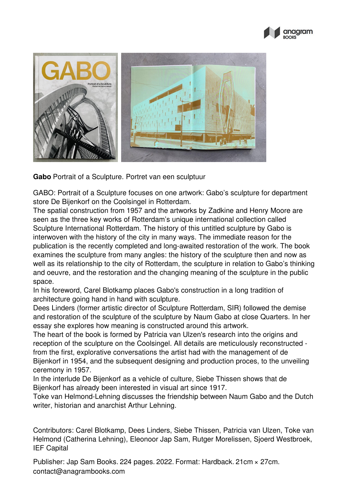



**Gabo** Portrait of a Sculpture. Portret van een sculptuur

GABO: Portrait of a Sculpture focuses on one artwork: Gabo's sculpture for department store De Bijenkorf on the Coolsingel in Rotterdam.

The spatial construction from 1957 and the artworks by Zadkine and Henry Moore are seen as the three key works of Rotterdam's unique international collection called Sculpture International Rotterdam. The history of this untitled sculpture by Gabo is interwoven with the history of the city in many ways. The immediate reason for the publication is the recently completed and long-awaited restoration of the work. The book examines the sculpture from many angles: the history of the sculpture then and now as well as its relationship to the city of Rotterdam, the sculpture in relation to Gabo's thinking and oeuvre, and the restoration and the changing meaning of the sculpture in the public space.

In his foreword, Carel Blotkamp places Gabo's construction in a long tradition of architecture going hand in hand with sculpture.

Dees Linders (former artistic director of Sculpture Rotterdam, SIR) followed the demise and restoration of the sculpture of the sculpture by Naum Gabo at close Quarters. In her essay she explores how meaning is constructed around this artwork.

The heart of the book is formed by Patricia van Ulzen's research into the origins and reception of the sculpture on the Coolsingel. All details are meticulously reconstructed from the first, explorative conversations the artist had with the management of de Bijenkorf in 1954, and the subsequent designing and production proces, to the unveiling ceremony in 1957.

In the interlude De Bijenkorf as a vehicle of culture, Siebe Thissen shows that de Bijenkorf has already been interested in visual art since 1917.

Toke van Helmond-Lehning discusses the friendship between Naum Gabo and the Dutch writer, historian and anarchist Arthur Lehning.

Contributors: Carel Blotkamp, Dees Linders, Siebe Thissen, Patricia van Ulzen, Toke van Helmond (Catherina Lehning), Eleonoor Jap Sam, Rutger Morelissen, Sjoerd Westbroek, IEF Capital

Publisher: Jap Sam Books. 224 pages. 2022. Format: Hardback. 21cm × 27cm. contact@anagrambooks.com